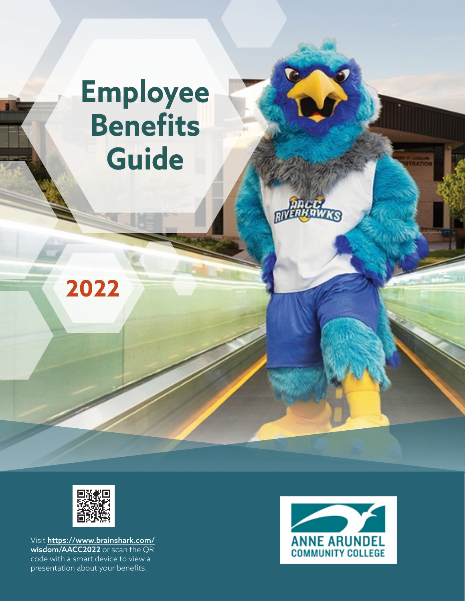# **Employee Benefits Guide**





Visit [https://www.brainshark.com/](https://www.brainshark.com/wisdom/AACC2022) [wisdom/AACC2022](https://www.brainshark.com/wisdom/AACC2022) or scan the QR code with a smart device to view a presentation about your benefits.

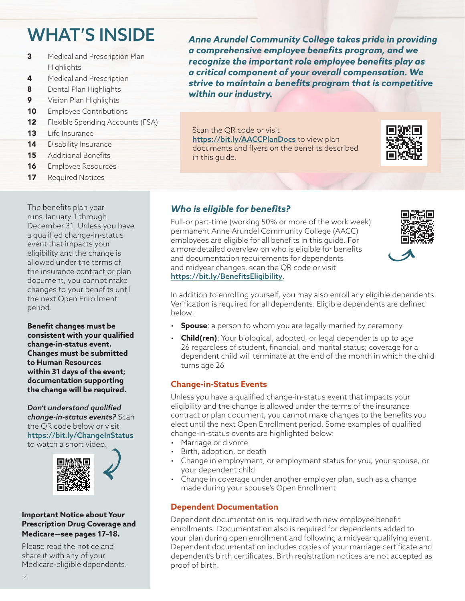## WHAT'S INSIDE

- 3 Medical and Prescription Plan **Highlights**
- 4 Medical and Prescription
- 8 [Dental Plan Highlights](#page-7-0)
- **9** [Vision Plan Highlights](#page-8-0)
- 10 [Employee Contributions](#page-9-0)
- **12** [Flexible Spending Accounts \(FSA\)](#page-11-0)
- 13 [Life Insurance](#page-12-0)
- 14 [Disability Insurance](#page-13-0)
- 15 [Additional Benefits](#page-14-0)
- 16 [Employee Resources](#page-15-0)
- 17 [Required Notices](#page-16-0)

The benefits plan year runs January 1 through December 31. Unless you have a qualified change-in-status event that impacts your eligibility and the change is allowed under the terms of the insurance contract or plan document, you cannot make changes to your benefits until the next Open Enrollment period.

**Benefit changes must be consistent with your qualified change-in-status event. Changes must be submitted to Human Resources within 31 days of the event; documentation supporting the change will be required.**

*Don't understand qualified change-in-status events?* Scan the QR code below or visit <https://bit.ly/ChangeInStatus> to watch a short video.



#### **Important Notice about Your Prescription Drug Coverage and Medicare—see pages 17–18.**

Please read the notice and share it with any of your Medicare-eligible dependents. *Anne Arundel Community College takes pride in providing a comprehensive employee benefits program, and we recognize the important role employee benefits play as a critical component of your overall compensation. We strive to maintain a benefits program that is competitive within our industry.*

Scan the QR code or visit <https://bit.ly/AACCPlanDocs> to view plan documents and flyers on the benefits described in this guide.



## *Who is eligible for benefits?*

Full-or part-time (working 50% or more of the work week) permanent Anne Arundel Community College (AACC) employees are eligible for all benefits in this guide. For a more detailed overview on who is eligible for benefits and documentation requirements for dependents and midyear changes, scan the QR code or visit <https://bit.ly/BenefitsEligibility>.



In addition to enrolling yourself, you may also enroll any eligible dependents. Verification is required for all dependents. Eligible dependents are defined below:

- **Spouse**: a person to whom you are legally married by ceremony
- **Child(ren)**: Your biological, adopted, or legal dependents up to age 26 regardless of student, financial, and marital status; coverage for a dependent child will terminate at the end of the month in which the child turns age 26

## **Change-in-Status Events**

Unless you have a qualified change-in-status event that impacts your eligibility and the change is allowed under the terms of the insurance contract or plan document, you cannot make changes to the benefits you elect until the next Open Enrollment period. Some examples of qualified change-in-status events are highlighted below:

- Marriage or divorce
- Birth, adoption, or death
- Change in employment, or employment status for you, your spouse, or your dependent child
- Change in coverage under another employer plan, such as a change made during your spouse's Open Enrollment

## **Dependent Documentation**

Dependent documentation is required with new employee benefit enrollments. Documentation also is required for dependents added to your plan during open enrollment and following a midyear qualifying event. Dependent documentation includes copies of your marriage certificate and dependent's birth certificates. Birth registration notices are not accepted as proof of birth.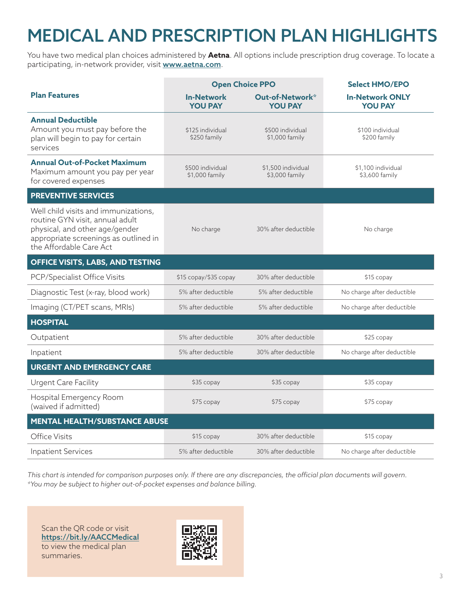## <span id="page-2-0"></span>MEDICAL AND PRESCRIPTION PLAN HIGHLIGHTS

You have two medical plan choices administered by **Aetna**. All options include prescription drug coverage. To locate a participating, in-network provider, visit **[www.a](http://www.aetna.com)etna.com**.

|                                                                                                                                                                               | <b>Open Choice PPO</b>              |                                      | <b>Select HMO/EPO</b>                    |
|-------------------------------------------------------------------------------------------------------------------------------------------------------------------------------|-------------------------------------|--------------------------------------|------------------------------------------|
| <b>Plan Features</b>                                                                                                                                                          | <b>In-Network</b><br><b>YOU PAY</b> | Out-of-Network*<br><b>YOU PAY</b>    | <b>In-Network ONLY</b><br><b>YOU PAY</b> |
| <b>Annual Deductible</b><br>Amount you must pay before the<br>plan will begin to pay for certain<br>services                                                                  | \$125 individual<br>\$250 family    | \$500 individual<br>$$1,000$ family  | \$100 individual<br>\$200 family         |
| <b>Annual Out-of-Pocket Maximum</b><br>Maximum amount you pay per year<br>for covered expenses                                                                                | \$500 individual<br>\$1,000 family  | \$1,500 individual<br>\$3,000 family | \$1,100 individual<br>\$3,600 family     |
| <b>PREVENTIVE SERVICES</b>                                                                                                                                                    |                                     |                                      |                                          |
| Well child visits and immunizations,<br>routine GYN visit, annual adult<br>physical, and other age/gender<br>appropriate screenings as outlined in<br>the Affordable Care Act | No charge                           | 30% after deductible                 | No charge                                |
| OFFICE VISITS, LABS, AND TESTING                                                                                                                                              |                                     |                                      |                                          |
| PCP/Specialist Office Visits                                                                                                                                                  | \$15 copay/\$35 copay               | 30% after deductible                 | \$15 copay                               |
| Diagnostic Test (x-ray, blood work)                                                                                                                                           | 5% after deductible                 | 5% after deductible                  | No charge after deductible               |
| Imaging (CT/PET scans, MRIs)                                                                                                                                                  | 5% after deductible                 | 5% after deductible                  | No charge after deductible               |
| <b>HOSPITAL</b>                                                                                                                                                               |                                     |                                      |                                          |
| Outpatient                                                                                                                                                                    | 5% after deductible                 | 30% after deductible                 | \$25 copay                               |
| Inpatient                                                                                                                                                                     | 5% after deductible                 | 30% after deductible                 | No charge after deductible               |
| <b>URGENT AND EMERGENCY CARE</b>                                                                                                                                              |                                     |                                      |                                          |
| <b>Urgent Care Facility</b>                                                                                                                                                   | \$35 copay                          | \$35 copay                           | \$35 copay                               |
| Hospital Emergency Room<br>(waived if admitted)                                                                                                                               | \$75 copay                          | \$75 copay                           | \$75 copay                               |
| <b>MENTAL HEALTH/SUBSTANCE ABUSE</b>                                                                                                                                          |                                     |                                      |                                          |
| Office Visits                                                                                                                                                                 | \$15 copay                          | 30% after deductible                 | \$15 copay                               |
| <b>Inpatient Services</b>                                                                                                                                                     | 5% after deductible                 | 30% after deductible                 | No charge after deductible               |

*This chart is intended for comparison purposes only. If there are any discrepancies, the official plan documents will govern. \*You may be subject to higher out-of-pocket expenses and balance billing.*

Scan the QR code or visit <https://bit.ly/AACCMedical> to view the medical plan summaries.

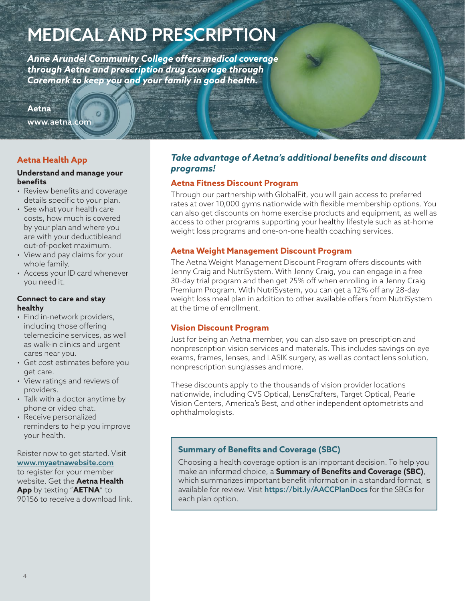## <span id="page-3-0"></span>MEDICAL AND PRESCRIPTION

*Anne Arundel Community College offers medical coverage through Aetna and prescription drug coverage through Caremark to keep you and your family in good health.* 

#### **Aetna**

[www.aetna.com](http://www.aetna.com)

## **Aetna Health App**

#### **Understand and manage your benefits**

- Review benefits and coverage details specific to your plan.
- See what your health care costs, how much is covered by your plan and where you are with your deductibleand out-of-pocket maximum.
- View and pay claims for your whole family.
- Access your ID card whenever you need it.

#### **Connect to care and stay healthy**

- Find in-network providers, including those offering telemedicine services, as well as walk-in clinics and urgent cares near you.
- Get cost estimates before you get care.
- View ratings and reviews of providers.
- Talk with a doctor anytime by phone or video chat.
- Receive personalized reminders to help you improve your health.

Reister now to get started. Visit [www.myaetnawebsite.com](http://www.myaetnawebsite.com) to register for your member website. Get the **Aetna Health App** by texting "**AETNA**" to 90156 to receive a download link.

## *Take advantage of Aetna's additional benefits and discount programs!*

### **Aetna Fitness Discount Program**

Through our partnership with GlobalFit, you will gain access to preferred rates at over 10,000 gyms nationwide with flexible membership options. You can also get discounts on home exercise products and equipment, as well as access to other programs supporting your healthy lifestyle such as at-home weight loss programs and one-on-one health coaching services.

#### **Aetna Weight Management Discount Program**

The Aetna Weight Management Discount Program offers discounts with Jenny Craig and NutriSystem. With Jenny Craig, you can engage in a free 30-day trial program and then get 25% off when enrolling in a Jenny Craig Premium Program. With NutriSystem, you can get a 12% off any 28-day weight loss meal plan in addition to other available offers from NutriSystem at the time of enrollment.

#### **Vision Discount Program**

Just for being an Aetna member, you can also save on prescription and nonprescription vision services and materials. This includes savings on eye exams, frames, lenses, and LASIK surgery, as well as contact lens solution, nonprescription sunglasses and more.

These discounts apply to the thousands of vision provider locations nationwide, including CVS Optical, LensCrafters, Target Optical, Pearle Vision Centers, America's Best, and other independent optometrists and ophthalmologists.

## **Summary of Benefits and Coverage (SBC)**

Choosing a health coverage option is an important decision. To help you make an informed choice, a **Summary of Benefits and Coverage (SBC)**, which summarizes important benefit information in a standard format, is available for review. Visit <https://bit.ly/AACCPlanDocs> for the SBCs for each plan option.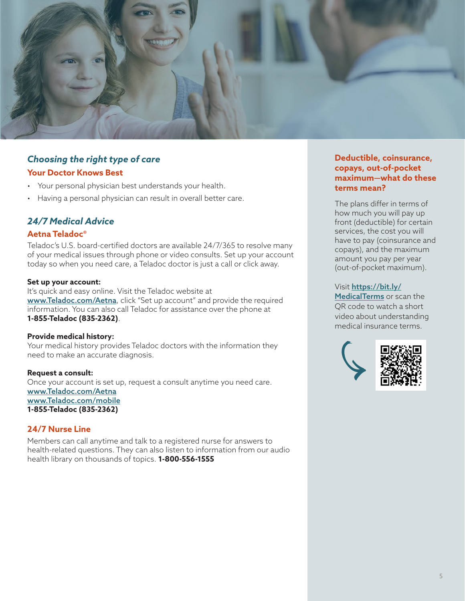

## *Choosing the right type of care*

#### **Your Doctor Knows Best**

- Your personal physician best understands your health.
- Having a personal physician can result in overall better care.

## *24/7 Medical Advice*

#### **Aetna Teladoc®**

Teladoc's U.S. board-certified doctors are available 24/7/365 to resolve many of your medical issues through phone or video consults. Set up your account today so when you need care, a Teladoc doctor is just a call or click away.

#### **Set up your account:**

It's quick and easy online. Visit the Teladoc website at [www.Teladoc.com/Aetna](http://www.Teladoc.com/Aetna), click "Set up account" and provide the required information. You can also call Teladoc for assistance over the phone at **1-855-Teladoc (835-2362)**.

#### **Provide medical history:**

Your medical history provides Teladoc doctors with the information they need to make an accurate diagnosis.

#### **Request a consult:**

Once your account is set up, request a consult anytime you need care. www[.Teladoc.com/Aetna](http://www.Teladoc.com/Aetna) www[.Teladoc.com/mobile](http://www.Teladoc.com/mobile) **1-855-Teladoc (835-2362)**

#### **24/7 Nurse Line**

Members can call anytime and talk to a registered nurse for answers to health-related questions. They can also listen to information from our audio health library on thousands of topics. **1-800-556-1555**

#### **Deductible, coinsurance, copays, out-of-pocket maximum—what do these terms mean?**

The plans differ in terms of how much you will pay up front (deductible) for certain services, the cost you will have to pay (coinsurance and copays), and the maximum amount you pay per year (out-of-pocket maximum).

#### Visit [https://bit.ly/](https://bit.ly/MedicalTerms)

[MedicalTerms](https://bit.ly/MedicalTerms) or scan the QR code to watch a short video about understanding medical insurance terms.

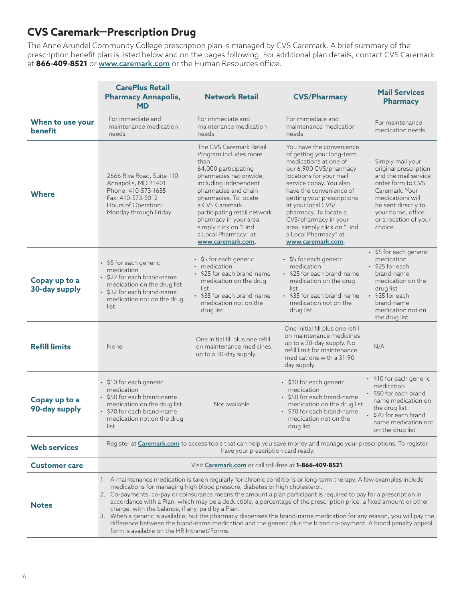## **CVS Caremark—Prescription Drug**

The Anne Arundel Community College prescription plan is managed by CVS Caremark. A brief summary of the prescription benefit plan is listed below and on the pages following. For additional plan details, contact CVS Caremark at **866-409-8521** or [www.caremark.com](http://www.caremark.com) or the Human Resources office.

|                                    | <b>CarePlus Retail</b><br><b>Pharmacy Annapolis,</b><br>MD                                                                                                                                                                                                                                                                                                                                                                                                                                                                                                                                                                                                                                                                                                                                   | <b>Network Retail</b>                                                                                                                                                                                                                                                                                                                  | <b>CVS/Pharmacy</b>                                                                                                                                                                                                                                                                                                                                                        | <b>Mail Services</b><br><b>Pharmacy</b>                                                                                                                                                                       |
|------------------------------------|----------------------------------------------------------------------------------------------------------------------------------------------------------------------------------------------------------------------------------------------------------------------------------------------------------------------------------------------------------------------------------------------------------------------------------------------------------------------------------------------------------------------------------------------------------------------------------------------------------------------------------------------------------------------------------------------------------------------------------------------------------------------------------------------|----------------------------------------------------------------------------------------------------------------------------------------------------------------------------------------------------------------------------------------------------------------------------------------------------------------------------------------|----------------------------------------------------------------------------------------------------------------------------------------------------------------------------------------------------------------------------------------------------------------------------------------------------------------------------------------------------------------------------|---------------------------------------------------------------------------------------------------------------------------------------------------------------------------------------------------------------|
| When to use your<br><b>benefit</b> | For immediate and<br>maintenance medication<br>needs                                                                                                                                                                                                                                                                                                                                                                                                                                                                                                                                                                                                                                                                                                                                         | For immediate and<br>maintenance medication<br>needs                                                                                                                                                                                                                                                                                   | For immediate and<br>maintenance medication<br>needs                                                                                                                                                                                                                                                                                                                       | For maintenance<br>medication needs                                                                                                                                                                           |
| <b>Where</b>                       | 2666 Riva Road, Suite 110<br>Annapolis, MD 21401<br>Phone: 410-573-1635<br>Fax: 410-573-5012<br>Hours of Operation:<br>Monday through Friday                                                                                                                                                                                                                                                                                                                                                                                                                                                                                                                                                                                                                                                 | The CVS Caremark Retail<br>Program includes more<br>than<br>64,000 participating<br>pharmacies nationwide,<br>including independent<br>pharmacies and chain<br>pharmacies. To locate<br>a CVS Caremark<br>participating retail network<br>pharmacy in your area,<br>simply click on "Find<br>a Local Pharmacy" at<br>www.caremark.com. | You have the convenience<br>of getting your long-term<br>medications at one of<br>our 6,900 CVS/pharmacy<br>locations for your mail<br>service copay. You also<br>have the convenience of<br>getting your prescriptions<br>at your local CVS/<br>pharmacy. To locate a<br>CVS/pharmacy in your<br>area, simply click on "Find<br>a Local Pharmacy" at<br>www.caremark.com. | Simply mail your<br>original prescription<br>and the mail service<br>order form to CVS<br>Caremark. Your<br>medications will<br>be sent directly to<br>your home, office,<br>or a location of your<br>choice. |
| Copay up to a<br>30-day supply     | • \$5 for each generic<br>medication<br>\$22 for each brand-name<br>medication on the drug list<br>\$32 for each brand-name<br>medication not on the drug<br>list                                                                                                                                                                                                                                                                                                                                                                                                                                                                                                                                                                                                                            | $\cdot$ \$5 for each generic<br>• medication<br>$\cdot$ \$25 for each brand-name<br>medication on the drug<br>list<br>• \$35 for each brand-name<br>medication not on the<br>drug list                                                                                                                                                 | $\cdot$ \$5 for each generic<br>medication<br>• \$25 for each brand-name<br>medication on the drug<br>list<br>• \$35 for each brand-name<br>medication not on the<br>drug list                                                                                                                                                                                             | • \$5 for each generic<br>medication<br>$\cdot$ \$25 for each<br>brand-name<br>medication on the<br>drug list<br>$\cdot$ \$35 for each<br>brand-name<br>medication not on<br>the drug list                    |
| <b>Refill limits</b>               | None                                                                                                                                                                                                                                                                                                                                                                                                                                                                                                                                                                                                                                                                                                                                                                                         | One initial fill plus one refill<br>on maintenance medicines<br>up to a 30-day supply.                                                                                                                                                                                                                                                 | One initial fill plus one refill<br>on maintenance medicines<br>up to a 30-day supply. No<br>refill limit for maintenance<br>medications with a 31-90<br>day supply.                                                                                                                                                                                                       | N/A                                                                                                                                                                                                           |
| Copay up to a<br>90-day supply     | • \$10 for each generic<br>medication<br>• \$50 for each brand-name<br>medication on the drug list<br>\$70 for each brand-name<br>medication not on the drug<br>list                                                                                                                                                                                                                                                                                                                                                                                                                                                                                                                                                                                                                         | Not available                                                                                                                                                                                                                                                                                                                          | • \$10 for each generic<br>medication<br>• \$50 for each brand-name<br>medication on the drug list<br>• \$70 for each brand-name<br>medication not on the<br>drug list                                                                                                                                                                                                     | • \$10 for each generic<br>medication<br>• \$50 for each brand<br>name medication on<br>the drug list<br>· \$70 for each brand<br>name medication not<br>on the drug list                                     |
| <b>Web services</b>                | Register at <b>Caremark.com</b> to access tools that can help you save money and manage your prescriptions. To register,<br>have your prescription card ready.                                                                                                                                                                                                                                                                                                                                                                                                                                                                                                                                                                                                                               |                                                                                                                                                                                                                                                                                                                                        |                                                                                                                                                                                                                                                                                                                                                                            |                                                                                                                                                                                                               |
| <b>Customer care</b>               | Visit Caremark.com or call toll-free at 1-866-409-8521.                                                                                                                                                                                                                                                                                                                                                                                                                                                                                                                                                                                                                                                                                                                                      |                                                                                                                                                                                                                                                                                                                                        |                                                                                                                                                                                                                                                                                                                                                                            |                                                                                                                                                                                                               |
| <b>Notes</b>                       | 1. A maintenance medication is taken regularly for chronic conditions or long-term therapy. A few examples include<br>medications for managing high blood pressure, diabetes or high cholesterol.<br>2. Co-payments, co-pay or coinsurance means the amount a plan participant is required to pay for a prescription in<br>accordance with a Plan, which may be a deductible, a percentage of the prescription price, a fixed amount or other<br>charge, with the balance, if any, paid by a Plan.<br>3. When a generic is available, but the pharmacy dispenses the brand-name medication for any reason, you will pay the<br>difference between the brand-name medication and the generic plus the brand co-payment. A brand penalty appeal<br>form is available on the HR Intranet/Forms. |                                                                                                                                                                                                                                                                                                                                        |                                                                                                                                                                                                                                                                                                                                                                            |                                                                                                                                                                                                               |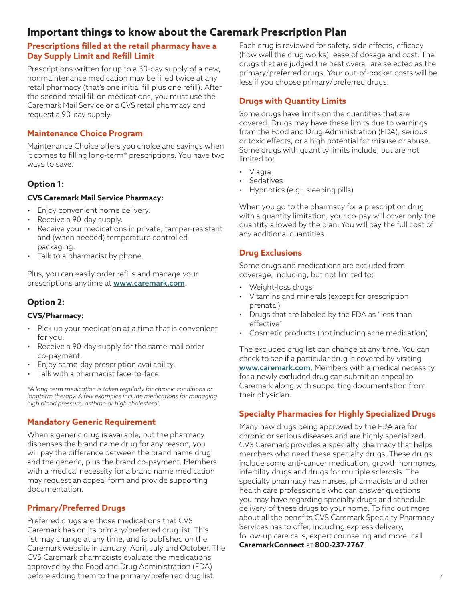## **Important things to know about the Caremark Prescription Plan**

## **Prescriptions filled at the retail pharmacy have a Day Supply Limit and Refill Limit**

Prescriptions written for up to a 30-day supply of a new, nonmaintenance medication may be filled twice at any retail pharmacy (that's one initial fill plus one refill). After the second retail fill on medications, you must use the Caremark Mail Service or a CVS retail pharmacy and request a 90-day supply.

### **Maintenance Choice Program**

Maintenance Choice offers you choice and savings when it comes to filling long-term\* prescriptions. You have two ways to save:

## **Option 1:**

#### **CVS Caremark Mail Service Pharmacy:**

- Enjoy convenient home delivery.
- Receive a 90-day supply.
- Receive your medications in private, tamper-resistant and (when needed) temperature controlled packaging.
- Talk to a pharmacist by phone.

Plus, you can easily order refills and manage your prescriptions anytime at **[www.caremark.com](http://www.caremark.com)**.

## **Option 2:**

#### **CVS/Pharmacy:**

- Pick up your medication at a time that is convenient for you.
- Receive a 90-day supply for the same mail order co-payment.
- Enjoy same-day prescription availability.
- Talk with a pharmacist face-to-face.

*\*A long-term medication is taken regularly for chronic conditions or longterm therapy. A few examples include medications for managing high blood pressure, asthma or high cholesterol.*

## **Mandatory Generic Requirement**

When a generic drug is available, but the pharmacy dispenses the brand name drug for any reason, you will pay the difference between the brand name drug and the generic, plus the brand co-payment. Members with a medical necessity for a brand name medication may request an appeal form and provide supporting documentation.

## **Primary/Preferred Drugs**

Preferred drugs are those medications that CVS Caremark has on its primary/preferred drug list. This list may change at any time, and is published on the Caremark website in January, April, July and October. The CVS Caremark pharmacists evaluate the medications approved by the Food and Drug Administration (FDA) before adding them to the primary/preferred drug list.

Each drug is reviewed for safety, side effects, efficacy (how well the drug works), ease of dosage and cost. The drugs that are judged the best overall are selected as the primary/preferred drugs. Your out-of-pocket costs will be less if you choose primary/preferred drugs.

### **Drugs with Quantity Limits**

Some drugs have limits on the quantities that are covered. Drugs may have these limits due to warnings from the Food and Drug Administration (FDA), serious or toxic effects, or a high potential for misuse or abuse. Some drugs with quantity limits include, but are not limited to:

- Viagra
- Sedatives
- Hypnotics (e.g., sleeping pills)

When you go to the pharmacy for a prescription drug with a quantity limitation, your co-pay will cover only the quantity allowed by the plan. You will pay the full cost of any additional quantities.

### **Drug Exclusions**

Some drugs and medications are excluded from coverage, including, but not limited to:

- Weight-loss drugs
- Vitamins and minerals (except for prescription prenatal)
- Drugs that are labeled by the FDA as "less than effective"
- Cosmetic products (not including acne medication)

The excluded drug list can change at any time. You can check to see if a particular drug is covered by visiting [www.caremark.com](http://www.caremark.com). Members with a medical necessity for a newly excluded drug can submit an appeal to Caremark along with supporting documentation from their physician.

#### **Specialty Pharmacies for Highly Specialized Drugs**

Many new drugs being approved by the FDA are for chronic or serious diseases and are highly specialized. CVS Caremark provides a specialty pharmacy that helps members who need these specialty drugs. These drugs include some anti-cancer medication, growth hormones, infertility drugs and drugs for multiple sclerosis. The specialty pharmacy has nurses, pharmacists and other health care professionals who can answer questions you may have regarding specialty drugs and schedule delivery of these drugs to your home. To find out more about all the benefits CVS Caremark Specialty Pharmacy Services has to offer, including express delivery, follow-up care calls, expert counseling and more, call **CaremarkConnect** at **800-237-2767**.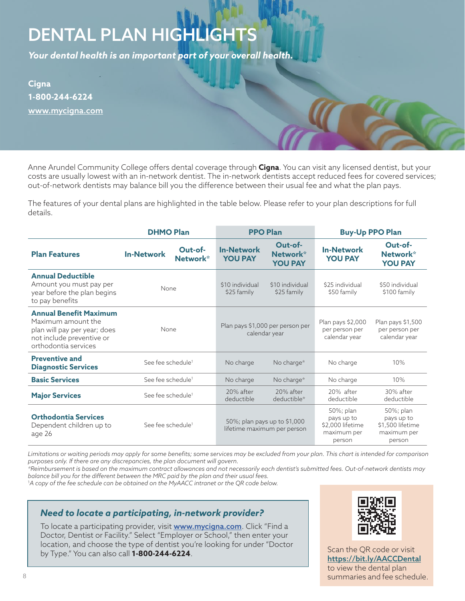## <span id="page-7-0"></span>DENTAL PLAN HIGHLIGHTS

*Your dental health is an important part of your overall health.* 

**Cigna 1-800-244-6224** [www.mycigna.com](http://www.mycigna.com)

Anne Arundel Community College offers dental coverage through **Cigna**. You can visit any licensed dentist, but your costs are usually lowest with an in-network dentist. The in-network dentists accept reduced fees for covered services; out-of-network dentists may balance bill you the difference between their usual fee and what the plan pays.

The features of your dental plans are highlighted in the table below. Please refer to your plan descriptions for full details.

|                                                                                                                                          | <b>DHMO Plan</b>                         | <b>PPO Plan</b>                                                              | <b>Buy-Up PPO Plan</b>                                                                                                                       |  |
|------------------------------------------------------------------------------------------------------------------------------------------|------------------------------------------|------------------------------------------------------------------------------|----------------------------------------------------------------------------------------------------------------------------------------------|--|
| <b>Plan Features</b>                                                                                                                     | Out-of-<br><b>In-Network</b><br>Network* | Out-of-<br><b>In-Network</b><br>Network*<br><b>YOU PAY</b><br><b>YOU PAY</b> | Out-of-<br><b>In-Network</b><br>Network*<br><b>YOU PAY</b><br><b>YOU PAY</b>                                                                 |  |
| <b>Annual Deductible</b><br>Amount you must pay per<br>year before the plan begins<br>to pay benefits                                    | <b>None</b>                              | \$10 individual<br>\$10 individual<br>\$25 family<br>\$25 family             | \$25 individual<br>\$50 individual<br>\$50 family<br>\$100 family                                                                            |  |
| <b>Annual Benefit Maximum</b><br>Maximum amount the<br>plan will pay per year; does<br>not include preventive or<br>orthodontia services | None                                     | Plan pays \$1,000 per person per<br>calendar year                            | Plan pays \$1,500<br>Plan pays \$2,000<br>per person per<br>per person per<br>calendar year<br>calendar year                                 |  |
| <b>Preventive and</b><br><b>Diagnostic Services</b>                                                                                      | See fee schedule <sup>1</sup>            | No charge<br>No charge*                                                      | 10%<br>No charge                                                                                                                             |  |
| <b>Basic Services</b>                                                                                                                    | See fee schedule <sup>1</sup>            | No charge*<br>No charge                                                      | 10%<br>No charge                                                                                                                             |  |
| <b>Major Services</b>                                                                                                                    | See fee schedule <sup>1</sup>            | 20% after<br>20% after<br>deductible<br>deductible*                          | 20% after<br>30% after<br>deductible<br>deductible                                                                                           |  |
| <b>Orthodontia Services</b><br>Dependent children up to<br>age 26                                                                        | See fee schedule <sup>1</sup>            | 50%; plan pays up to \$1,000<br>lifetime maximum per person                  | 50%; plan<br>50%; plan<br>pays up to<br>pays up to<br>\$2,000 lifetime<br>\$1,500 lifetime<br>maximum per<br>maximum per<br>person<br>person |  |

*Limitations or waiting periods may apply for some benefits; some services may be excluded from your plan. This chart is intended for comparison purposes only. If there are any discrepancies, the plan document will govern.* 

*\*Reimbursement is based on the maximum contract allowances and not necessarily each dentist's submitted fees. Out-of-network dentists may balance bill you for the different between the MRC paid by the plan and their usual fees.*

1 *A copy of the fee schedule can be obtained on the MyAACC intranet or the QR code below.*

## *Need to locate a participating, in-network provider?*

To locate a participating provider, visit **[www.mycigna.com](http://www.mycigna.com)**. Click "Find a Doctor, Dentist or Facility." Select "Employer or School," then enter your location, and choose the type of dentist you're looking for under "Doctor by Type." You can also call **1-800-244-6224**.



Scan the QR code or visit <https://bit.ly/AACCDental> to view the dental plan summaries and fee schedule.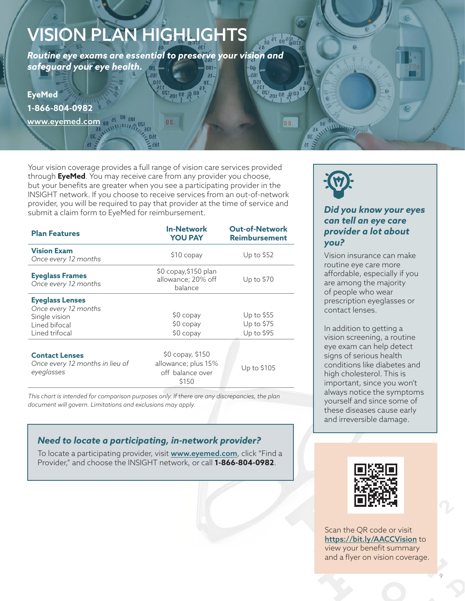## <span id="page-8-0"></span>VISION PLAN HIGHLIGHTS

*Routine eye exams are essential to preserve your vision and safeguard your eye health.*   $-180$ 165.

**EyeMed 1-866-804-0982** www.eyemed.c<mark>om <sub>00</sub> at <sup>08</sup> adj</mark> **120 ANTIHITING** 

Your vision coverage provides a full range of vision care services provided through **EyeMed**. You may receive care from any provider you choose, but your benefits are greater when you see a participating provider in the INSIGHT network. If you choose to receive services from an out-of-network provider, you will be required to pay that provider at the time of service and submit a claim form to EyeMed for reimbursement.

| <b>Plan Features</b>                                                                               | <b>In-Network</b><br><b>YOU PAY</b>                                  | <b>Out-of-Network</b><br><b>Reimbursement</b> |
|----------------------------------------------------------------------------------------------------|----------------------------------------------------------------------|-----------------------------------------------|
| <b>Vision Exam</b><br>Once every 12 months                                                         | \$10 copay                                                           | Up to \$52                                    |
| <b>Eyeglass Frames</b><br>Once every 12 months                                                     | \$0 copay,\$150 plan<br>allowance; 20% off<br>balance                | Up to \$70                                    |
| <b>Eyeglass Lenses</b><br>Once every 12 months<br>Single vision<br>Lined bifocal<br>Lined trifocal | \$0 copay<br>$$0$ copay<br>\$0 copay                                 | Up to \$55<br>Up to \$75<br>Up to \$95        |
| <b>Contact Lenses</b><br>Once every 12 months in lieu of<br>eyeglasses                             | \$0 copay, \$150<br>allowance; plus 15%<br>off balance over<br>\$150 | Up to \$105                                   |
|                                                                                                    |                                                                      |                                               |

*This chart is intended for comparison purposes only. If there are any discrepancies, the plan document will govern. Limitations and exclusions may apply.*

## *Need to locate a participating, in-network provider?*

To locate a participating provider, visit **[www.eyemed.com](http://www.eyemed.com)**, click "Find a Provider," and choose the INSIGHT network, or call **1-866-804-0982**.



OE NUMBER OF SO

 $\frac{1}{120}$   $\frac{1}{12}$   $\frac{1}{50}$   $\frac{1}{50}$ 

**1045 90 105 120** 

00.

 $n<sub>1</sub>$ 

## *Did you know your eyes can tell an eye care provider a lot about you?*

Vision insurance can make routine eye care more affordable, especially if you are among the majority of people who wear prescription eyeglasses or contact lenses.

In addition to getting a vision screening, a routine eye exam can help detect signs of serious health conditions like diabetes and high cholesterol. This is important, since you won't always notice the symptoms yourself and since some of these diseases cause early and irreversible damage.



Scan the QR code or visit <https://bit.ly/AACCVision> to view your benefit summary and a flyer on vision coverage.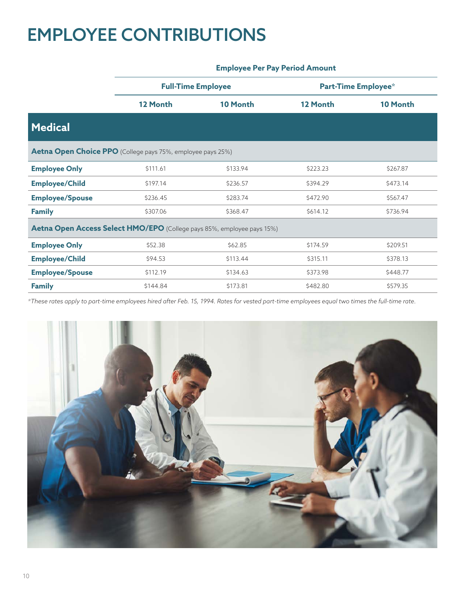## <span id="page-9-0"></span>EMPLOYEE CONTRIBUTIONS

|                                                                        | <b>Full-Time Employee</b> |          |          | <b>Part-Time Employee*</b> |
|------------------------------------------------------------------------|---------------------------|----------|----------|----------------------------|
|                                                                        | 12 Month                  | 10 Month | 12 Month | 10 Month                   |
| <b>Medical</b>                                                         |                           |          |          |                            |
| Aetna Open Choice PPO (College pays 75%, employee pays 25%)            |                           |          |          |                            |
| <b>Employee Only</b>                                                   | \$111.61                  | \$133.94 | \$223.23 | \$267.87                   |
| <b>Employee/Child</b>                                                  | \$197.14                  | \$236.57 | \$394.29 | \$473.14                   |
| <b>Employee/Spouse</b>                                                 | \$236.45                  | \$283.74 | \$472.90 | \$567.47                   |
| <b>Family</b>                                                          | \$307.06                  | \$368.47 | \$614.12 | \$736.94                   |
| Aetna Open Access Select HMO/EPO (College pays 85%, employee pays 15%) |                           |          |          |                            |
| <b>Employee Only</b>                                                   | \$52.38                   | \$62.85  | \$174.59 | \$209.51                   |
| <b>Employee/Child</b>                                                  | \$94.53                   | \$113.44 | \$315.11 | \$378.13                   |
| <b>Employee/Spouse</b>                                                 | \$112.19                  | \$134.63 | \$373.98 | \$448.77                   |
| <b>Family</b>                                                          | \$144.84                  | \$173.81 | \$482.80 | \$579.35                   |

## **Employee Per Pay Period Amount**

*\*These rates apply to part-time employees hired after Feb. 15, 1994. Rates for vested part-time employees equal two times the full-time rate.*

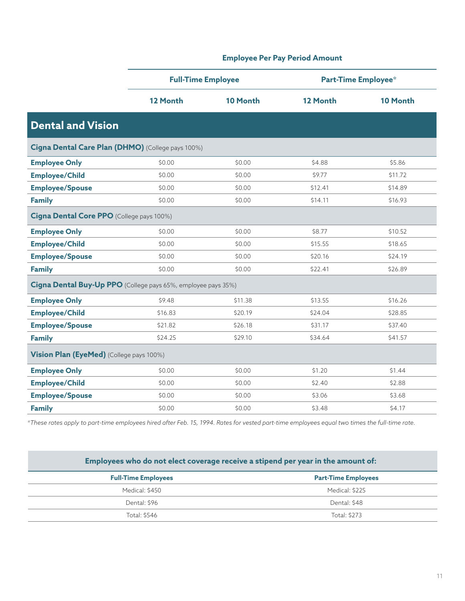|                                                               | <b>Full-Time Employee</b> |          |          | <b>Part-Time Employee*</b> |
|---------------------------------------------------------------|---------------------------|----------|----------|----------------------------|
|                                                               | 12 Month                  | 10 Month | 12 Month | 10 Month                   |
| <b>Dental and Vision</b>                                      |                           |          |          |                            |
| Cigna Dental Care Plan (DHMO) (College pays 100%)             |                           |          |          |                            |
| <b>Employee Only</b>                                          | \$0.00                    | \$0.00   | \$4.88   | \$5.86                     |
| <b>Employee/Child</b>                                         | \$0.00                    | \$0.00   | \$9.77   | \$11.72                    |
| <b>Employee/Spouse</b>                                        | \$0.00                    | \$0.00   | \$12.41  | \$14.89                    |
| <b>Family</b>                                                 | \$0.00                    | \$0.00   | \$14.11  | \$16.93                    |
| Cigna Dental Core PPO (College pays 100%)                     |                           |          |          |                            |
| <b>Employee Only</b>                                          | \$0.00                    | \$0.00   | \$8.77   | \$10.52                    |
| <b>Employee/Child</b>                                         | \$0.00                    | \$0.00   | \$15.55  | \$18.65                    |
| <b>Employee/Spouse</b>                                        | \$0.00                    | \$0.00   | \$20.16  | \$24.19                    |
| <b>Family</b>                                                 | \$0.00                    | \$0.00   | \$22.41  | \$26.89                    |
| Cigna Dental Buy-Up PPO (College pays 65%, employee pays 35%) |                           |          |          |                            |
| <b>Employee Only</b>                                          | \$9.48                    | \$11.38  | \$13.55  | \$16.26                    |
| <b>Employee/Child</b>                                         | \$16.83                   | \$20.19  | \$24.04  | \$28.85                    |
| <b>Employee/Spouse</b>                                        | \$21.82                   | \$26.18  | \$31.17  | \$37.40                    |
| <b>Family</b>                                                 | \$24.25                   | \$29.10  | \$34.64  | \$41.57                    |
| Vision Plan (EyeMed) (College pays 100%)                      |                           |          |          |                            |
| <b>Employee Only</b>                                          | \$0.00                    | \$0.00   | \$1.20   | \$1.44                     |
| <b>Employee/Child</b>                                         | \$0.00                    | \$0.00   | \$2.40   | \$2.88                     |
| <b>Employee/Spouse</b>                                        | \$0.00                    | \$0.00   | \$3.06   | \$3.68                     |
| <b>Family</b>                                                 | \$0.00                    | \$0.00   | \$3.48   | \$4.17                     |

**Employee Per Pay Period Amount**

*\*These rates apply to part-time employees hired after Feb. 15, 1994. Rates for vested part-time employees equal two times the full-time rate.*

| Employees who do not elect coverage receive a stipend per year in the amount of: |                            |  |
|----------------------------------------------------------------------------------|----------------------------|--|
| <b>Full-Time Employees</b>                                                       | <b>Part-Time Employees</b> |  |
| Medical: \$450                                                                   | Medical: \$225             |  |
| Dental: \$96                                                                     | Dental: \$48               |  |
| Total: \$546                                                                     | Total: \$273               |  |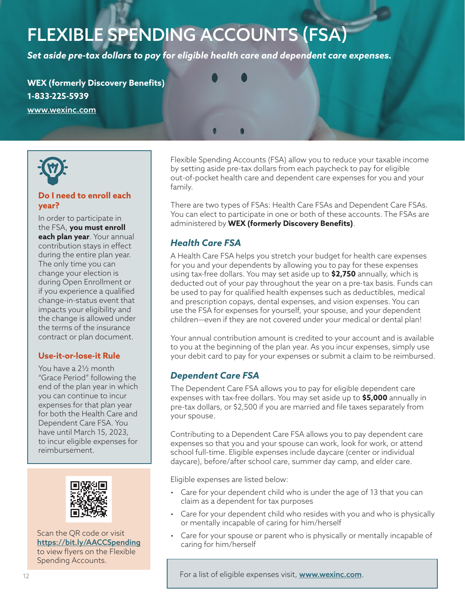## <span id="page-11-0"></span>FLEXIBLE SPENDING ACCOUNTS (FSA)

*Set aside pre-tax dollars to pay for eligible health care and dependent care expenses.*

**WEX (formerly Discovery Benefits) 1-833-225-5939** [www.wexinc.com](http://www.wexinc.com)



### **Do I need to enroll each year?**

In order to participate in the FSA, **you must enroll each plan year**. Your annual contribution stays in effect during the entire plan year. The only time you can change your election is during Open Enrollment or if you experience a qualified change-in-status event that impacts your eligibility and the change is allowed under the terms of the insurance contract or plan document.

#### **Use-it-or-lose-it Rule**

You have a 2½ month "Grace Period" following the end of the plan year in which you can continue to incur expenses for that plan year for both the Health Care and Dependent Care FSA. You have until March 15, 2023, to incur eligible expenses for reimbursement.



Scan the QR code or visit <https://bit.ly/AACCSpending> to view flyers on the Flexible Spending Accounts.

Flexible Spending Accounts (FSA) allow you to reduce your taxable income by setting aside pre-tax dollars from each paycheck to pay for eligible out-of-pocket health care and dependent care expenses for you and your family.

There are two types of FSAs: Health Care FSAs and Dependent Care FSAs. You can elect to participate in one or both of these accounts. The FSAs are administered by **WEX (formerly Discovery Benefits)**.

## *Health Care FSA*

A Health Care FSA helps you stretch your budget for health care expenses for you and your dependents by allowing you to pay for these expenses using tax-free dollars. You may set aside up to **\$2,750** annually, which is deducted out of your pay throughout the year on a pre-tax basis. Funds can be used to pay for qualified health expenses such as deductibles, medical and prescription copays, dental expenses, and vision expenses. You can use the FSA for expenses for yourself, your spouse, and your dependent children—even if they are not covered under your medical or dental plan!

Your annual contribution amount is credited to your account and is available to you at the beginning of the plan year. As you incur expenses, simply use your debit card to pay for your expenses or submit a claim to be reimbursed.

## *Dependent Care FSA*

The Dependent Care FSA allows you to pay for eligible dependent care expenses with tax-free dollars. You may set aside up to **\$5,000** annually in pre-tax dollars, or \$2,500 if you are married and file taxes separately from your spouse.

Contributing to a Dependent Care FSA allows you to pay dependent care expenses so that you and your spouse can work, look for work, or attend school full-time. Eligible expenses include daycare (center or individual daycare), before/after school care, summer day camp, and elder care.

Eligible expenses are listed below:

- Care for your dependent child who is under the age of 13 that you can claim as a dependent for tax purposes
- Care for your dependent child who resides with you and who is physically or mentally incapable of caring for him/herself
- Care for your spouse or parent who is physically or mentally incapable of caring for him/herself

For a list of eligible expenses visit, [www.w](http://www.wexinc.com)exinc.com.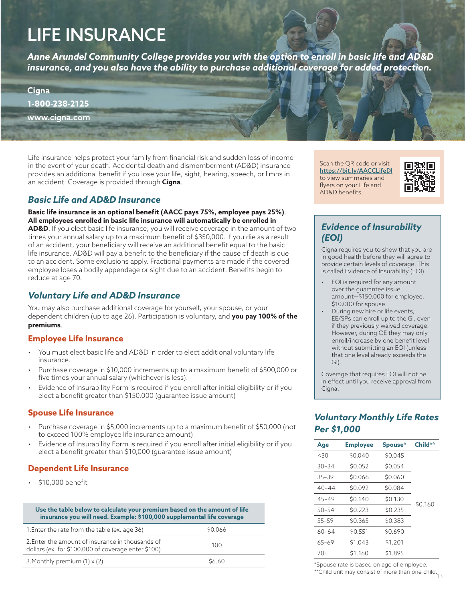## <span id="page-12-0"></span>LIFE INSURANCE

*Anne Arundel Community College provides you with the option to enroll in basic life and AD&D insurance, and you also have the ability to purchase additional coverage for added protection.* 

**Cigna 1-800-238-2125** [www.cigna.com](http://www.cigna.com)

Life insurance helps protect your family from financial risk and sudden loss of income in the event of your death. Accidental death and dismemberment (AD&D) insurance provides an additional benefit if you lose your life, sight, hearing, speech, or limbs in an accident. Coverage is provided through **Cigna**.

## *Basic Life and AD&D Insurance*

**Basic life insurance is an optional benefit (AACC pays 75%, employee pays 25%)**. **All employees enrolled in basic life insurance will automatically be enrolled in** 

**AD&D**. If you elect basic life insurance, you will receive coverage in the amount of two times your annual salary up to a maximum benefit of \$350,000. If you die as a result of an accident, your beneficiary will receive an additional benefit equal to the basic life insurance. AD&D will pay a benefit to the beneficiary if the cause of death is due to an accident. Some exclusions apply. Fractional payments are made if the covered employee loses a bodily appendage or sight due to an accident. Benefits begin to reduce at age 70.

## *Voluntary Life and AD&D Insurance*

You may also purchase additional coverage for yourself, your spouse, or your dependent children (up to age 26). Participation is voluntary, and **you pay 100% of the premiums**.

#### **Employee Life Insurance**

- You must elect basic life and AD&D in order to elect additional voluntary life insurance.
- Purchase coverage in \$10,000 increments up to a maximum benefit of \$500,000 or five times your annual salary (whichever is less).
- Evidence of Insurability Form is required if you enroll after initial eligibility or if you elect a benefit greater than \$150,000 (guarantee issue amount)

## **Spouse Life Insurance**

- Purchase coverage in \$5,000 increments up to a maximum benefit of \$50,000 (not to exceed 100% employee life insurance amount)
- Evidence of Insurability Form is required if you enroll after initial eligibility or if you elect a benefit greater than \$10,000 (guarantee issue amount)

## **Dependent Life Insurance**

• \$10,000 benefit

| Use the table below to calculate your premium based on the amount of life<br>insurance you will need. Example: \$100,000 supplemental life coverage |              |  |
|-----------------------------------------------------------------------------------------------------------------------------------------------------|--------------|--|
| 1. Enter the rate from the table (ex. age 36)                                                                                                       | \$0.066      |  |
| 2. Enter the amount of insurance in thousands of<br>dollars (ex. for \$100,000 of coverage enter \$100)                                             | 100          |  |
| 3. Monthly premium $(1) \times (2)$                                                                                                                 | <b>SA 60</b> |  |

Scan the QR code or visit <https://bit.ly/AACCLifeDI> to view summaries and flyers on your Life and AD&D benefits.



## *Evidence of Insurability (EOI)*

Cigna requires you to show that you are in good health before they will agree to provide certain levels of coverage. This is called Evidence of Insurability (EOI).

- EOI is required for any amount over the guarantee issue amount—\$150,000 for employee, \$10,000 for spouse.
- During new hire or life events, EE/SPs can enroll up to the GI, even if they previously waived coverage. However, during OE they may only enroll/increase by one benefit level without submitting an EOI (unless that one level already exceeds the GI).

Coverage that requires EOI will not be in effect until you receive approval from Cigna.

## *Voluntary Monthly Life Rates Per \$1,000*

| Age       | <b>Employee</b> | Spouse* | Child** |
|-----------|-----------------|---------|---------|
| <30       | \$0.040         | \$0.045 |         |
| $30 - 34$ | \$0.052         | \$0.054 |         |
| $35 - 39$ | \$0.066         | \$0.060 |         |
| $40 - 44$ | \$0.092         | \$0.084 |         |
| $45 - 49$ | \$0.140         | \$0.130 |         |
| $50 - 54$ | \$0.223         | \$0.235 | \$0.160 |
| $55 - 59$ | \$0.365         | \$0.383 |         |
| 60-64     | \$0.551         | \$0.690 |         |
| $65 - 69$ | \$1.043         | \$1.201 |         |
| 70+       | \$1.160         | \$1.895 |         |

\*Spouse rate is based on age of employee.

\*\*Child unit may consist of more than one child.<br>13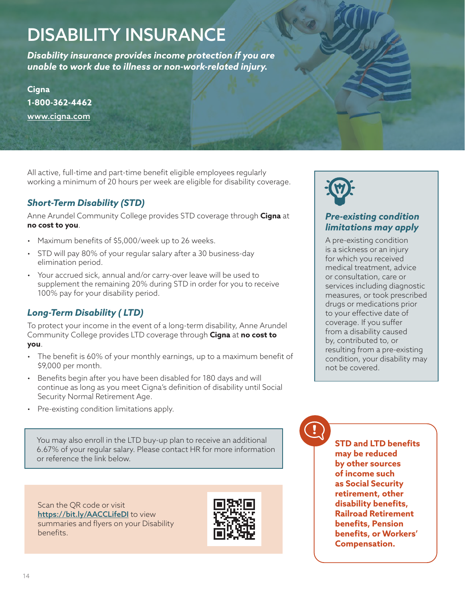## <span id="page-13-0"></span>DISABILITY INSURANCE

*Disability insurance provides income protection if you are unable to work due to illness or non-work-related injury.* 

**Cigna 1-800-362-4462** [www.cigna.com](http://www.cigna.com)

All active, full-time and part-time benefit eligible employees regularly working a minimum of 20 hours per week are eligible for disability coverage.

## *Short-Term Disability (STD)*

Anne Arundel Community College provides STD coverage through **Cigna** at **no cost to you**.

- Maximum benefits of \$5,000/week up to 26 weeks.
- STD will pay 80% of your regular salary after a 30 business-day elimination period.
- Your accrued sick, annual and/or carry-over leave will be used to supplement the remaining 20% during STD in order for you to receive 100% pay for your disability period.

## *Long-Term Disability ( LTD)*

To protect your income in the event of a long-term disability, Anne Arundel Community College provides LTD coverage through **Cigna** at **no cost to you**.

- The benefit is 60% of your monthly earnings, up to a maximum benefit of \$9,000 per month.
- Benefits begin after you have been disabled for 180 days and will continue as long as you meet Cigna's definition of disability until Social Security Normal Retirement Age.
- Pre-existing condition limitations apply.

You may also enroll in the LTD buy-up plan to receive an additional 6.67% of your regular salary. Please contact HR for more information or reference the link below.

Scan the QR code or visit <https://bit.ly/AACCLifeDI> to view summaries and flyers on your Disability benefits.





## *Pre-existing condition limitations may apply*

A pre-existing condition is a sickness or an injury for which you received medical treatment, advice or consultation, care or services including diagnostic measures, or took prescribed drugs or medications prior to your effective date of coverage. If you suffer from a disability caused by, contributed to, or resulting from a pre-existing condition, your disability may not be covered.

**STD and LTD benefits may be reduced by other sources of income such as Social Security retirement, other disability benefits, Railroad Retirement benefits, Pension benefits, or Workers' Compensation.**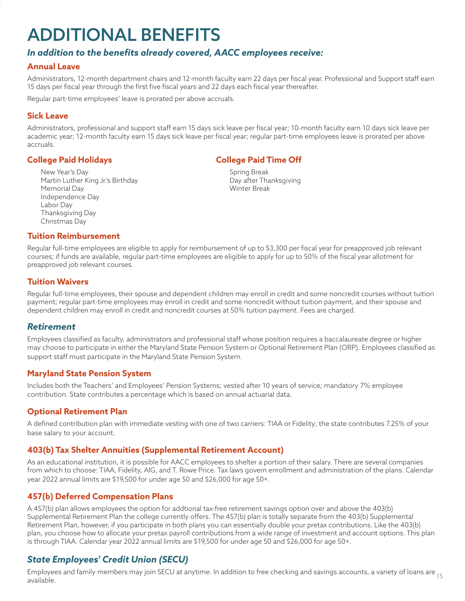## <span id="page-14-0"></span>ADDITIONAL BENEFITS

## *In addition to the benefits already covered, AACC employees receive:*

#### **Annual Leave**

Administrators, 12-month department chairs and 12-month faculty earn 22 days per fiscal year. Professional and Support staff earn 15 days per fiscal year through the first five fiscal years and 22 days each fiscal year thereafter.

Regular part-time employees' leave is prorated per above accruals.

#### **Sick Leave**

Administrators, professional and support staff earn 15 days sick leave per fiscal year; 10-month faculty earn 10 days sick leave per academic year; 12-month faculty earn 15 days sick leave per fiscal year; regular part-time employees leave is prorated per above accruals.

#### **College Paid Holidays**

New Year's Day Martin Luther King Jr.'s Birthday Memorial Day Independence Day Labor Day Thanksgiving Day Christmas Day

#### **College Paid Time Off**

Spring Break Day after Thanksgiving Winter Break

#### **Tuition Reimbursement**

Regular full-time employees are eligible to apply for reimbursement of up to \$3,300 per fiscal year for preapproved job relevant courses; if funds are available, regular part-time employees are eligible to apply for up to 50% of the fiscal year allotment for preapproved job relevant courses.

#### **Tuition Waivers**

Regular full-time employees, their spouse and dependent children may enroll in credit and some noncredit courses without tuition payment; regular part-time employees may enroll in credit and some noncredit without tuition payment, and their spouse and dependent children may enroll in credit and noncredit courses at 50% tuition payment. Fees are charged.

#### *Retirement*

Employees classified as faculty, administrators and professional staff whose position requires a baccalaureate degree or higher may choose to participate in either the Maryland State Pension System or Optional Retirement Plan (ORP). Employees classified as support staff must participate in the Maryland State Pension System.

#### **Maryland State Pension System**

Includes both the Teachers' and Employees' Pension Systems; vested after 10 years of service; mandatory 7% employee contribution. State contributes a percentage which is based on annual actuarial data.

#### **Optional Retirement Plan**

A defined contribution plan with immediate vesting with one of two carriers: TIAA or Fidelity; the state contributes 7.25% of your base salary to your account.

#### **403(b) Tax Shelter Annuities (Supplemental Retirement Account)**

As an educational institution, it is possible for AACC employees to shelter a portion of their salary. There are several companies from which to choose: TIAA, Fidelity, AIG, and T. Rowe Price. Tax laws govern enrollment and administration of the plans. Calendar year 2022 annual limits are \$19,500 for under age 50 and \$26,000 for age 50+.

#### **457(b) Deferred Compensation Plans**

A 457(b) plan allows employees the option for addtional tax-free retirement savings option over and above the 403(b) Supplemental Retirement Plan the college currently offers. The 457(b) plan is totally separate from the 403(b) Supplemental Retirement Plan, however, if you participate in both plans you can essentially double your pretax contributions. Like the 403(b) plan, you choose how to allocate your pretax payroll contributions from a wide range of investment and account options. This plan is through TIAA. Calendar year 2022 annual limits are \$19,500 for under age 50 and \$26,000 for age 50+.

## *State Employees' Credit Union (SECU)*

Employees and family members may join SECU at anytime. In addition to free checking and savings accounts, a variety of loans are <sub>15</sub><br>----<sup>:1</sup>--<sup>1</sup>available.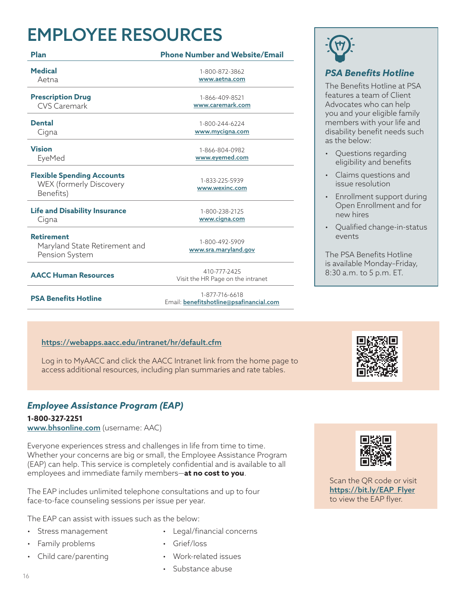## <span id="page-15-0"></span>EMPLOYEE RESOURCES

| Plan                                                                             | <b>Phone Number and Website/Email</b>             |
|----------------------------------------------------------------------------------|---------------------------------------------------|
| <b>Medical</b>                                                                   | 1-800-872-3862                                    |
| Aetna                                                                            | www.aetna.com                                     |
| <b>Prescription Drug</b>                                                         | 1-866-409-8521                                    |
| <b>CVS Caremark</b>                                                              | www.caremark.com                                  |
| <b>Dental</b>                                                                    | 1-800-244-6224                                    |
| Cigna                                                                            | www.mycigna.com                                   |
| <b>Vision</b>                                                                    | 1-866-804-0982                                    |
| EyeMed                                                                           | www.eyemed.com                                    |
| <b>Flexible Spending Accounts</b><br><b>WEX (formerly Discovery</b><br>Benefits) | 1-833-225-5939<br>www.wexinc.com                  |
| <b>Life and Disability Insurance</b>                                             | 1-800-238-2125                                    |
| Cigna                                                                            | www.cigna.com                                     |
| <b>Retirement</b><br>Maryland State Retirement and<br>Pension System             | 1-800-492-5909<br>www.sra.maryland.gov            |
| <b>AACC Human Resources</b>                                                      | 410-777-2425<br>Visit the HR Page on the intranet |
|                                                                                  |                                                   |

**PSA Benefits Hotline** 1-877-716-6618

Email: [benefitshotline@psafinancial.com](mailto:benefitshotline%40psafinancial.com?subject=)

## <https://webapps.aacc.edu/intranet/hr/default.cfm>

Log in to MyAACC and click the AACC Intranet link from the home page to access additional resources, including plan summaries and rate tables.

## *Employee Assistance Program (EAP)*

**1-800-327-2251** ww[w.bhsonline.com](http://www.bhsonline.com) (username: AAC)

Everyone experiences stress and challenges in life from time to time. Whether your concerns are big or small, the Employee Assistance Program (EAP) can help. This service is completely confidential and is available to all employees and immediate family members—**at no cost to you**.

The EAP includes unlimited telephone consultations and up to four face-to-face counseling sessions per issue per year.

The EAP can assist with issues such as the below:

- Stress management
- Family problems
- Child care/parenting
- Legal/financial concerns
- Grief/loss
- Work-related issues
- Substance abuse



## *PSA Benefits Hotline*

The Benefits Hotline at PSA features a team of Client Advocates who can help you and your eligible family members with your life and disability benefit needs such as the below:

- Questions regarding eligibility and benefits
- Claims questions and issue resolution
- Enrollment support during Open Enrollment and for new hires
- Qualified change-in-status events

The PSA Benefits Hotline is available Monday–Friday, 8:30 a.m. to 5 p.m. ET.



Scan the QR code or visit [https://bit.ly/EAP\\_Flyer](https://bit.ly/EAP_Flyer) to view the EAP flyer.

16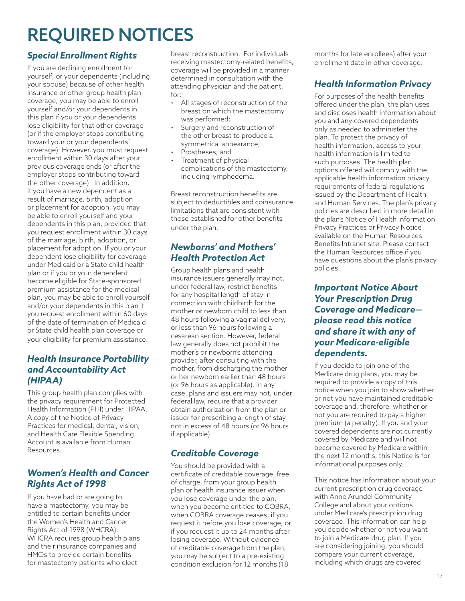## <span id="page-16-0"></span>REQUIRED NOTICES

## *Special Enrollment Rights*

If you are declining enrollment for yourself, or your dependents (including your spouse) because of other health insurance or other group health plan coverage, you may be able to enroll yourself and/or your dependents in this plan if you or your dependents lose eligibility for that other coverage (or if the employer stops contributing toward your or your dependents' coverage). However, you must request enrollment within 30 days after your previous coverage ends (or after the employer stops contributing toward the other coverage). In addition, if you have a new dependent as a result of marriage, birth, adoption or placement for adoption, you may be able to enroll yourself and your dependents in this plan, provided that you request enrollment within 30 days of the marriage, birth, adoption, or placement for adoption. If you or your dependent lose eligibility for coverage under Medicaid or a State child health plan or if you or your dependent become eligible for State-sponsored premium assistance for the medical plan, you may be able to enroll yourself and/or your dependents in this plan if you request enrollment within 60 days of the date of termination of Medicaid or State child health plan coverage or your eligibility for premium assistance.

## *Health Insurance Portability and Accountability Act (HIPAA)*

This group health plan complies with the privacy requirement for Protected Health Information (PHI) under HIPAA. A copy of the Notice of Privacy Practices for medical, dental, vision, and Health Care Flexible Spending Account is available from Human Resources.

## *Women's Health and Cancer Rights Act of 1998*

If you have had or are going to have a mastectomy, you may be entitled to certain benefits under the Women's Health and Cancer Rights Act of 1998 (WHCRA). WHCRA requires group health plans and their insurance companies and HMOs to provide certain benefits for mastectomy patients who elect

breast reconstruction. For individuals receiving mastectomy-related benefits, coverage will be provided in a manner determined in consultation with the attending physician and the patient, for:

- All stages of reconstruction of the breast on which the mastectomy was performed;
- Surgery and reconstruction of the other breast to produce a symmetrical appearance;
- Prostheses: and
- Treatment of physical complications of the mastectomy, including lymphedema.

Breast reconstruction benefits are subject to deductibles and coinsurance limitations that are consistent with those established for other benefits under the plan.

## *Newborns' and Mothers' Health Protection Act*

Group health plans and health insurance issuers generally may not, under federal law, restrict benefits for any hospital length of stay in connection with childbirth for the mother or newborn child to less than 48 hours following a vaginal delivery, or less than 96 hours following a cesarean section. However, federal law generally does not prohibit the mother's or newborn's attending provider, after consulting with the mother, from discharging the mother or her newborn earlier than 48 hours (or 96 hours as applicable). In any case, plans and issuers may not, under federal law, require that a provider obtain authorization from the plan or issuer for prescribing a length of stay not in excess of 48 hours (or 96 hours if applicable).

## *Creditable Coverage*

You should be provided with a certificate of creditable coverage, free of charge, from your group health plan or health insurance issuer when you lose coverage under the plan, when you become entitled to COBRA, when COBRA coverage ceases, if you request it before you lose coverage, or if you request it up to 24 months after losing coverage. Without evidence of creditable coverage from the plan, you may be subject to a pre-existing condition exclusion for 12 months (18

months for late enrollees) after your enrollment date in other coverage.

## *Health Information Privacy*

For purposes of the health benefits offered under the plan, the plan uses and discloses health information about you and any covered dependents only as needed to administer the plan. To protect the privacy of health information, access to your health information is limited to such purposes. The health plan options offered will comply with the applicable health information privacy requirements of federal regulations issued by the Department of Health and Human Services. The plan's privacy policies are described in more detail in the plan's Notice of Health Information Privacy Practices or Privacy Notice available on the Human Resources Benefits Intranet site. Please contact the Human Resources office if you have questions about the plan's privacy policies.

## *Important Notice About Your Prescription Drug Coverage and Medicare please read this notice and share it with any of your Medicare-eligible dependents.*

If you decide to join one of the Medicare drug plans, you may be required to provide a copy of this notice when you join to show whether or not you have maintained creditable coverage and, therefore, whether or not you are required to pay a higher premium (a penalty). If you and your covered dependents are not currently covered by Medicare and will not become covered by Medicare within the next 12 months, this Notice is for informational purposes only.

This notice has information about your current prescription drug coverage with Anne Arundel Community College and about your options under Medicare's prescription drug coverage. This information can help you decide whether or not you want to join a Medicare drug plan. If you are considering joining, you should compare your current coverage, including which drugs are covered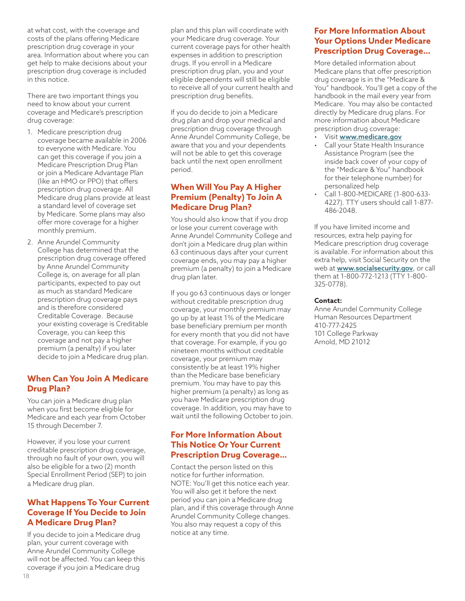at what cost, with the coverage and costs of the plans offering Medicare prescription drug coverage in your area. Information about where you can get help to make decisions about your prescription drug coverage is included in this notice.

There are two important things you need to know about your current coverage and Medicare's prescription drug coverage:

- 1. Medicare prescription drug coverage became available in 2006 to everyone with Medicare. You can get this coverage if you join a Medicare Prescription Drug Plan or join a Medicare Advantage Plan (like an HMO or PPO) that offers prescription drug coverage. All Medicare drug plans provide at least a standard level of coverage set by Medicare. Some plans may also offer more coverage for a higher monthly premium.
- 2. Anne Arundel Community College has determined that the prescription drug coverage offered by Anne Arundel Community College is, on average for all plan participants, expected to pay out as much as standard Medicare prescription drug coverage pays and is therefore considered Creditable Coverage. Because your existing coverage is Creditable Coverage, you can keep this coverage and not pay a higher premium (a penalty) if you later decide to join a Medicare drug plan.

#### **When Can You Join A Medicare Drug Plan?**

You can join a Medicare drug plan when you first become eligible for Medicare and each year from October 15 through December 7.

However, if you lose your current creditable prescription drug coverage, through no fault of your own, you will also be eligible for a two (2) month Special Enrollment Period (SEP) to join a Medicare drug plan.

### **What Happens To Your Current Coverage If You Decide to Join A Medicare Drug Plan?**

If you decide to join a Medicare drug plan, your current coverage with Anne Arundel Community College will not be affected. You can keep this coverage if you join a Medicare drug

plan and this plan will coordinate with your Medicare drug coverage. Your current coverage pays for other health expenses in addition to prescription drugs. If you enroll in a Medicare prescription drug plan, you and your eligible dependents will still be eligible to receive all of your current health and prescription drug benefits.

If you do decide to join a Medicare drug plan and drop your medical and prescription drug coverage through Anne Arundel Community College, be aware that you and your dependents will not be able to get this coverage back until the next open enrollment period.

### **When Will You Pay A Higher Premium (Penalty) To Join A Medicare Drug Plan?**

You should also know that if you drop or lose your current coverage with Anne Arundel Community College and don't join a Medicare drug plan within 63 continuous days after your current coverage ends, you may pay a higher premium (a penalty) to join a Medicare drug plan later.

If you go 63 continuous days or longer without creditable prescription drug coverage, your monthly premium may go up by at least 1% of the Medicare base beneficiary premium per month for every month that you did not have that coverage. For example, if you go nineteen months without creditable coverage, your premium may consistently be at least 19% higher than the Medicare base beneficiary premium. You may have to pay this higher premium (a penalty) as long as you have Medicare prescription drug coverage. In addition, you may have to wait until the following October to join.

#### **For More Information About This Notice Or Your Current Prescription Drug Coverage…**

Contact the person listed on this notice for further information. NOTE: You'll get this notice each year. You will also get it before the next period you can join a Medicare drug plan, and if this coverage through Anne Arundel Community College changes. You also may request a copy of this notice at any time.

#### **For More Information About Your Options Under Medicare Prescription Drug Coverage…**

More detailed information about Medicare plans that offer prescription drug coverage is in the "Medicare & You" handbook. You'll get a copy of the handbook in the mail every year from Medicare. You may also be contacted directly by Medicare drug plans. For more information about Medicare prescription drug coverage:

- Visit [www.medicare.gov](http://www.medicare.gov)
- Call your State Health Insurance Assistance Program (see the inside back cover of your copy of the "Medicare & You" handbook for their telephone number) for personalized help
- Call 1-800-MEDICARE (1-800-633- 4227). TTY users should call 1-877- 486-2048.

If you have limited income and resources, extra help paying for Medicare prescription drug coverage is available. For information about this extra help, visit Social Security on the web at **[www.socialsecurity.gov](http://www.socialsecurity.gov)**, or call them at 1-800-772-1213 (TTY 1-800- 325-0778).

#### **Contact:**

Anne Arundel Community College Human Resources Department 410-777-2425 101 College Parkway Arnold, MD 21012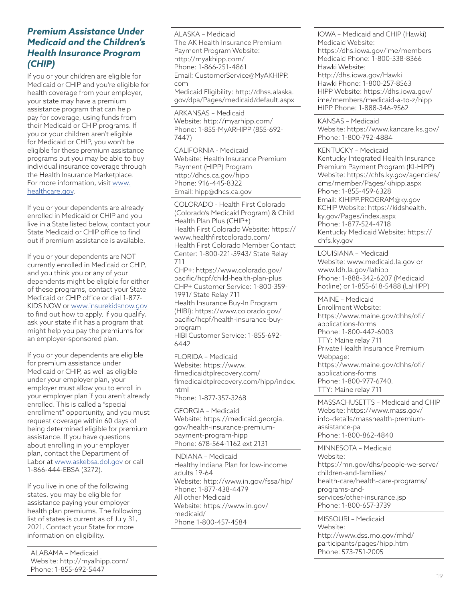## *Premium Assistance Under Medicaid and the Children's Health Insurance Program (CHIP)*

If you or your children are eligible for Medicaid or CHIP and you're eligible for health coverage from your employer, your state may have a premium assistance program that can help pay for coverage, using funds from their Medicaid or CHIP programs. If you or your children aren't eligible for Medicaid or CHIP, you won't be eligible for these premium assistance programs but you may be able to buy individual insurance coverage through the Health Insurance Marketplace. For more information, visit [www.](http://www.healthcare.gov) [healthcare.gov.](http://www.healthcare.gov)

If you or your dependents are already enrolled in Medicaid or CHIP and you live in a State listed below, contact your State Medicaid or CHIP office to find out if premium assistance is available.

If you or your dependents are NOT currently enrolled in Medicaid or CHIP, and you think you or any of your dependents might be eligible for either of these programs, contact your State Medicaid or CHIP office or dial 1-877- KIDS NOW or [www.insurekidsnow.gov](http://www.insurekidsnow.gov) to find out how to apply. If you qualify, ask your state if it has a program that might help you pay the premiums for an employer-sponsored plan.

If you or your dependents are eligible for premium assistance under Medicaid or CHIP, as well as eligible under your employer plan, your employer must allow you to enroll in your employer plan if you aren't already enrolled. This is called a "special enrollment" opportunity, and you must request coverage within 60 days of being determined eligible for premium assistance. If you have questions about enrolling in your employer plan, contact the Department of Labor at [www.askebsa.dol.gov](http://www.askebsa.dol.gov) or call 1-866-444-EBSA (3272).

If you live in one of the following states, you may be eligible for assistance paying your employer health plan premiums. The following list of states is current as of July 31, 2021. Contact your State for more information on eligibility.

ALABAMA – Medicaid Website:<http://myalhipp.com/> Phone: 1-855-692-5447

ALASKA – Medicaid The AK Health Insurance Premium Payment Program Website: <http://myakhipp.com/> Phone: 1-866-251-4861 Email: [CustomerService@MyAKHIPP.](mailto:CustomerService%40MyAKHIPP.com?subject=) [com](mailto:CustomerService%40MyAKHIPP.com?subject=) Medicaid Eligibility: [http://dhss.alaska.](http://dhss.alaska.gov/dpa/Pages/medicaid/default.aspx) [gov/dpa/Pages/medicaid/default.aspx](http://dhss.alaska.gov/dpa/Pages/medicaid/default.aspx)

ARKANSAS – Medicaid Website:<http://myarhipp.com/> Phone: 1-855-MyARHIPP (855-692- 7447)

CALIFORNIA - Medicaid Website: Health Insurance Premium Payment (HIPP) Program <http://dhcs.ca.gov/hipp> Phone: 916-445-8322 Email: [hipp@dhcs.ca.gov](mailto:hipp%40dhcs.ca.gov?subject=)

COLORADO - Health First Colorado (Colorado's Medicaid Program) & Child Health Plan Plus (CHIP+) Health First Colorado Website: [https://](https://www.healthfirstcolorado.com/) [www.healthfirstcolorado.com/](https://www.healthfirstcolorado.com/) Health First Colorado Member Contact Center: 1-800-221-3943/ State Relay 711

CHP+: [https://www.colorado.gov/](https://www.colorado.gov/pacific/hcpf/child-health-plan-plus) [pacific/hcpf/child-health-plan-plus](https://www.colorado.gov/pacific/hcpf/child-health-plan-plus) CHP+ Customer Service: 1-800-359- 1991/ State Relay 711 Health Insurance Buy-In Program (HIBI): [https://www.colorado.gov/](https://www.colorado.gov/pacific/hcpf/health-insurance-buy-program) [pacific/hcpf/health-insurance-buy](https://www.colorado.gov/pacific/hcpf/health-insurance-buy-program)[program](https://www.colorado.gov/pacific/hcpf/health-insurance-buy-program) HIBI Customer Service: 1-855-692- 6442

FLORIDA – Medicaid Website: [https://www.](https://www.flmedicaidtplrecovery.com/flmedicaidtplrecovery.com/hipp/index.html) [flmedicaidtplrecovery.com/](https://www.flmedicaidtplrecovery.com/flmedicaidtplrecovery.com/hipp/index.html) [flmedicaidtplrecovery.com/hipp/index.](https://www.flmedicaidtplrecovery.com/flmedicaidtplrecovery.com/hipp/index.html) [html](https://www.flmedicaidtplrecovery.com/flmedicaidtplrecovery.com/hipp/index.html)

Phone: 1-877-357-3268

GEORGIA – Medicaid Website: [https://medicaid.georgia.](https://medicaid.georgia.gov/health-insurancepremium- payment-program-hipp) [gov/health-insurance-premium](https://medicaid.georgia.gov/health-insurancepremium- payment-program-hipp)[payment-program-hipp](https://medicaid.georgia.gov/health-insurancepremium- payment-program-hipp) Phone: 678-564-1162 ext 2131

INDIANA – Medicaid Healthy Indiana Plan for low-income adults 19-64 Website:<http://www.in.gov/fssa/hip/> Phone: 1-877-438-4479 All other Medicaid Website: [https://www.in.gov/](https://www.in.gov/medicaid/) [medicaid/](https://www.in.gov/medicaid/) Phone 1-800-457-4584

IOWA – Medicaid and CHIP (Hawki) Medicaid Website: <https://dhs.iowa.gov/ime/members> Medicaid Phone: 1-800-338-8366 Hawki Website: <http://dhs.iowa.gov/Hawki> Hawki Phone: 1-800-257-8563 HIPP Website: [https://dhs.iowa.gov/](https://dhs.iowa.gov/ime/members/medicaid-a-to-z/hipp HIPP Phone: 1-888-346-9562) [ime/members/medicaid-a-to-z/hipp](https://dhs.iowa.gov/ime/members/medicaid-a-to-z/hipp HIPP Phone: 1-888-346-9562) [HIPP Phone: 1-888-346-9562](https://dhs.iowa.gov/ime/members/medicaid-a-to-z/hipp HIPP Phone: 1-888-346-9562)

KANSAS – Medicaid Website:<https://www.kancare.ks.gov/> Phone: 1-800-792-4884

KENTUCKY – Medicaid Kentucky Integrated Health Insurance Premium Payment Program (KI-HIPP) Website: [https://chfs.ky.gov/agencies/](https://chfs.ky.gov/agencies/dms/member/Pages/kihipp.aspx) [dms/member/Pages/kihipp.aspx](https://chfs.ky.gov/agencies/dms/member/Pages/kihipp.aspx) Phone: 1-855-459-6328 Email: [KIHIPP.PROGRAM@ky.gov](mailto:KIHIPP.PROGRAM%40ky.gov?subject=) KCHIP Website: [https://kidshealth.](https://kidshealth.ky.gov/Pages/index.aspx) [ky.gov/Pages/index.aspx](https://kidshealth.ky.gov/Pages/index.aspx) Phone: 1-877-524-4718 Kentucky Medicaid Website: [https://](https://chfs.ky.gov) [chfs.ky.gov](https://chfs.ky.gov)

LOUISIANA – Medicaid Website: [www.medicaid.la.gov or](http://www.medicaid.la.gov or www.ldh.la.gov/lahipp)  [www.ldh.la.gov/lahipp](http://www.medicaid.la.gov or www.ldh.la.gov/lahipp) Phone: 1-888-342-6207 (Medicaid hotline) or 1-855-618-5488 (LaHIPP)

MAINE – Medicaid Enrollment Website: [https://www.maine.gov/dhhs/ofi/](https://www.maine.gov/dhhs/ofi/applications-forms) [applications-forms](https://www.maine.gov/dhhs/ofi/applications-forms) Phone: 1-800-442-6003 TTY: Maine relay 711 Private Health Insurance Premium Webpage: https://www.maine.gov/dhhs/ofi/ applications-forms Phone: 1-800-977-6740. TTY: Maine relay 711

MASSACHUSETTS – Medicaid and CHIP Website: [https://www.mass.gov/](https://www.mass.gov/info-details/masshealth-premium-assistance-pa) [info-details/masshealth-premium](https://www.mass.gov/info-details/masshealth-premium-assistance-pa)[assistance-pa](https://www.mass.gov/info-details/masshealth-premium-assistance-pa) Phone: 1-800-862-4840

MINNESOTA – Medicaid Website: [https://mn.gov/dhs/people-we-serve/](https://mn.gov/dhs/people-we-serve/children-andfamilies/ health-care/health-care-programs/programsan) [children-and-families/](https://mn.gov/dhs/people-we-serve/children-andfamilies/ health-care/health-care-programs/programsan) [health-care/health-care-programs/](https://mn.gov/dhs/people-we-serve/children-andfamilies/ health-care/health-care-programs/programsan) [programs-and](https://mn.gov/dhs/people-we-serve/children-andfamilies/ health-care/health-care-programs/programsan)[services/other-insurance.jsp](https://mn.gov/dhs/people-we-serve/children-andfamilies/ health-care/health-care-programs/programsan) Phone: 1-800-657-3739

MISSOURI – Medicaid Website: [http://www.dss.mo.gov/mhd/](http://www.dss.mo.gov/mhd/participants/pages/hipp.htm) [participants/pages/hipp.htm](http://www.dss.mo.gov/mhd/participants/pages/hipp.htm) Phone: 573-751-2005